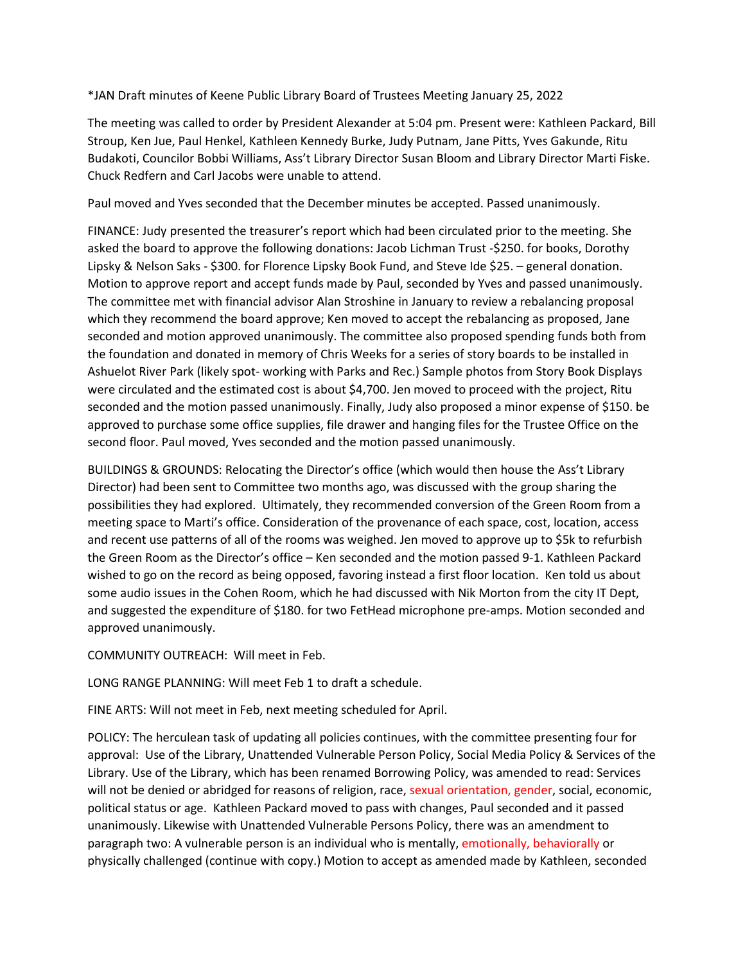\*JAN Draft minutes of Keene Public Library Board of Trustees Meeting January 25, 2022

The meeting was called to order by President Alexander at 5:04 pm. Present were: Kathleen Packard, Bill Stroup, Ken Jue, Paul Henkel, Kathleen Kennedy Burke, Judy Putnam, Jane Pitts, Yves Gakunde, Ritu Budakoti, Councilor Bobbi Williams, Ass't Library Director Susan Bloom and Library Director Marti Fiske. Chuck Redfern and Carl Jacobs were unable to attend.

Paul moved and Yves seconded that the December minutes be accepted. Passed unanimously.

FINANCE: Judy presented the treasurer's report which had been circulated prior to the meeting. She asked the board to approve the following donations: Jacob Lichman Trust -\$250. for books, Dorothy Lipsky & Nelson Saks - \$300. for Florence Lipsky Book Fund, and Steve Ide \$25. – general donation. Motion to approve report and accept funds made by Paul, seconded by Yves and passed unanimously. The committee met with financial advisor Alan Stroshine in January to review a rebalancing proposal which they recommend the board approve; Ken moved to accept the rebalancing as proposed, Jane seconded and motion approved unanimously. The committee also proposed spending funds both from the foundation and donated in memory of Chris Weeks for a series of story boards to be installed in Ashuelot River Park (likely spot- working with Parks and Rec.) Sample photos from Story Book Displays were circulated and the estimated cost is about \$4,700. Jen moved to proceed with the project, Ritu seconded and the motion passed unanimously. Finally, Judy also proposed a minor expense of \$150. be approved to purchase some office supplies, file drawer and hanging files for the Trustee Office on the second floor. Paul moved, Yves seconded and the motion passed unanimously.

BUILDINGS & GROUNDS: Relocating the Director's office (which would then house the Ass't Library Director) had been sent to Committee two months ago, was discussed with the group sharing the possibilities they had explored. Ultimately, they recommended conversion of the Green Room from a meeting space to Marti's office. Consideration of the provenance of each space, cost, location, access and recent use patterns of all of the rooms was weighed. Jen moved to approve up to \$5k to refurbish the Green Room as the Director's office – Ken seconded and the motion passed 9-1. Kathleen Packard wished to go on the record as being opposed, favoring instead a first floor location. Ken told us about some audio issues in the Cohen Room, which he had discussed with Nik Morton from the city IT Dept, and suggested the expenditure of \$180. for two FetHead microphone pre-amps. Motion seconded and approved unanimously.

COMMUNITY OUTREACH: Will meet in Feb.

LONG RANGE PLANNING: Will meet Feb 1 to draft a schedule.

FINE ARTS: Will not meet in Feb, next meeting scheduled for April.

POLICY: The herculean task of updating all policies continues, with the committee presenting four for approval: Use of the Library, Unattended Vulnerable Person Policy, Social Media Policy & Services of the Library. Use of the Library, which has been renamed Borrowing Policy, was amended to read: Services will not be denied or abridged for reasons of religion, race, sexual orientation, gender, social, economic, political status or age. Kathleen Packard moved to pass with changes, Paul seconded and it passed unanimously. Likewise with Unattended Vulnerable Persons Policy, there was an amendment to paragraph two: A vulnerable person is an individual who is mentally, emotionally, behaviorally or physically challenged (continue with copy.) Motion to accept as amended made by Kathleen, seconded